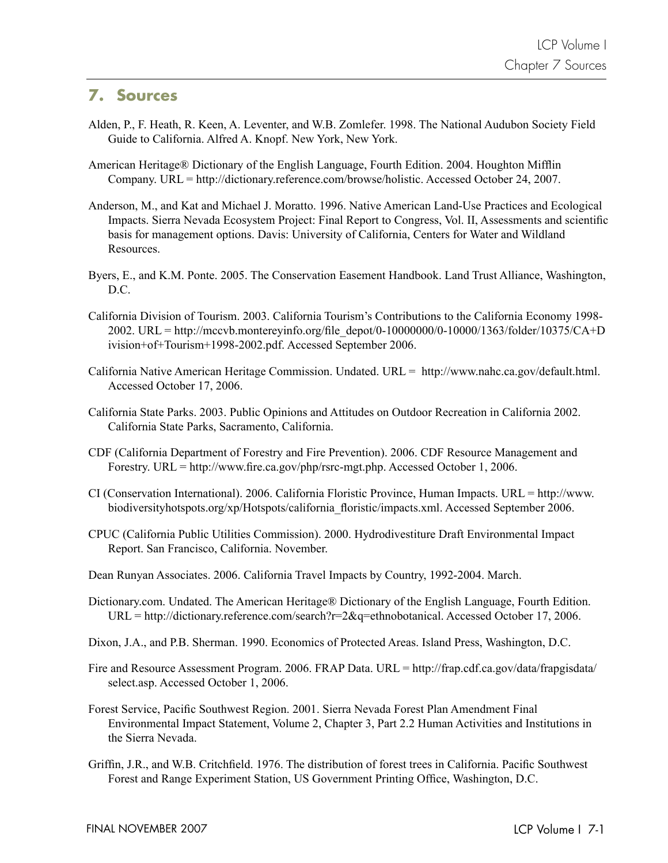## **7. Sources**

- Alden, P., F. Heath, R. Keen, A. Leventer, and W.B. Zomlefer. 1998. The National Audubon Society Field Guide to California. Alfred A. Knopf. New York, New York.
- American Heritage® Dictionary of the English Language, Fourth Edition. 2004. Houghton Mifflin Company. URL = http://dictionary.reference.com/browse/holistic. Accessed October 24, 2007.
- Anderson, M., and Kat and Michael J. Moratto. 1996. Native American Land-Use Practices and Ecological Impacts. Sierra Nevada Ecosystem Project: Final Report to Congress, Vol. II, Assessments and scientific basis for management options. Davis: University of California, Centers for Water and Wildland Resources.
- Byers, E., and K.M. Ponte. 2005. The Conservation Easement Handbook. Land Trust Alliance, Washington, D.C.
- California Division of Tourism. 2003. California Tourism's Contributions to the California Economy 1998- 2002. URL = http://mccvb.montereyinfo.org/file\_depot/0-10000000/0-10000/1363/folder/10375/CA+D ivision+of+Tourism+1998-2002.pdf. Accessed September 2006.
- California Native American Heritage Commission. Undated. URL = http://www.nahc.ca.gov/default.html. Accessed October 17, 2006.
- California State Parks. 2003. Public Opinions and Attitudes on Outdoor Recreation in California 2002. California State Parks, Sacramento, California.
- CDF (California Department of Forestry and Fire Prevention). 2006. CDF Resource Management and Forestry. URL = http://www.fire.ca.gov/php/rsrc-mgt.php. Accessed October 1, 2006.
- CI (Conservation International). 2006. California Floristic Province, Human Impacts. URL = http://www. biodiversityhotspots.org/xp/Hotspots/california floristic/impacts.xml. Accessed September 2006.
- CPUC (California Public Utilities Commission). 2000. Hydrodivestiture Draft Environmental Impact Report. San Francisco, California. November.
- Dean Runyan Associates. 2006. California Travel Impacts by Country, 1992-2004. March.
- Dictionary.com. Undated. The American Heritage® Dictionary of the English Language, Fourth Edition. URL = http://dictionary.reference.com/search?r=2&q=ethnobotanical. Accessed October 17, 2006.
- Dixon, J.A., and P.B. Sherman. 1990. Economics of Protected Areas. Island Press, Washington, D.C.
- Fire and Resource Assessment Program. 2006. FRAP Data. URL = http://frap.cdf.ca.gov/data/frapgisdata/ select.asp. Accessed October 1, 2006.
- Forest Service, Pacific Southwest Region. 2001. Sierra Nevada Forest Plan Amendment Final Environmental Impact Statement, Volume 2, Chapter 3, Part 2.2 Human Activities and Institutions in the Sierra Nevada.
- Griffin, J.R., and W.B. Critchfield. 1976. The distribution of forest trees in California. Pacific Southwest Forest and Range Experiment Station, US Government Printing Office, Washington, D.C.